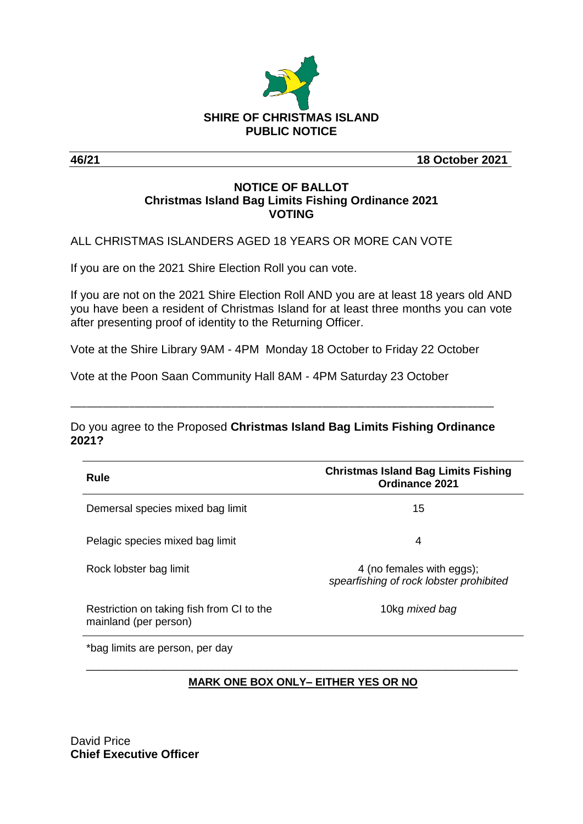

**46/21 18 October 2021**

#### **NOTICE OF BALLOT Christmas Island Bag Limits Fishing Ordinance 2021 VOTING**

ALL CHRISTMAS ISLANDERS AGED 18 YEARS OR MORE CAN VOTE

If you are on the 2021 Shire Election Roll you can vote.

If you are not on the 2021 Shire Election Roll AND you are at least 18 years old AND you have been a resident of Christmas Island for at least three months you can vote after presenting proof of identity to the Returning Officer.

Vote at the Shire Library 9AM - 4PM Monday 18 October to Friday 22 October

Vote at the Poon Saan Community Hall 8AM - 4PM Saturday 23 October

Do you agree to the Proposed **Christmas Island Bag Limits Fishing Ordinance 2021?**

\_\_\_\_\_\_\_\_\_\_\_\_\_\_\_\_\_\_\_\_\_\_\_\_\_\_\_\_\_\_\_\_\_\_\_\_\_\_\_\_\_\_\_\_\_\_\_\_\_\_\_\_\_\_\_\_\_\_\_\_\_\_\_\_\_\_\_\_\_\_\_\_\_\_\_\_\_\_\_

| <b>Rule</b>                                                        | <b>Christmas Island Bag Limits Fishing</b><br><b>Ordinance 2021</b>  |
|--------------------------------------------------------------------|----------------------------------------------------------------------|
| Demersal species mixed bag limit                                   | 15                                                                   |
| Pelagic species mixed bag limit                                    | 4                                                                    |
| Rock lobster bag limit                                             | 4 (no females with eggs);<br>spearfishing of rock lobster prohibited |
| Restriction on taking fish from CI to the<br>mainland (per person) | 10kg mixed bag                                                       |

\*bag limits are person, per day

# \_\_\_\_\_\_\_\_\_\_\_\_\_\_\_\_\_\_\_\_\_\_\_\_\_\_\_\_\_\_\_\_\_\_\_\_\_\_\_\_\_\_\_\_\_\_\_\_\_\_\_\_\_\_\_\_\_\_\_\_\_\_\_\_\_\_\_\_\_\_\_\_ **MARK ONE BOX ONLY– EITHER YES OR NO**

David Price **Chief Executive Officer**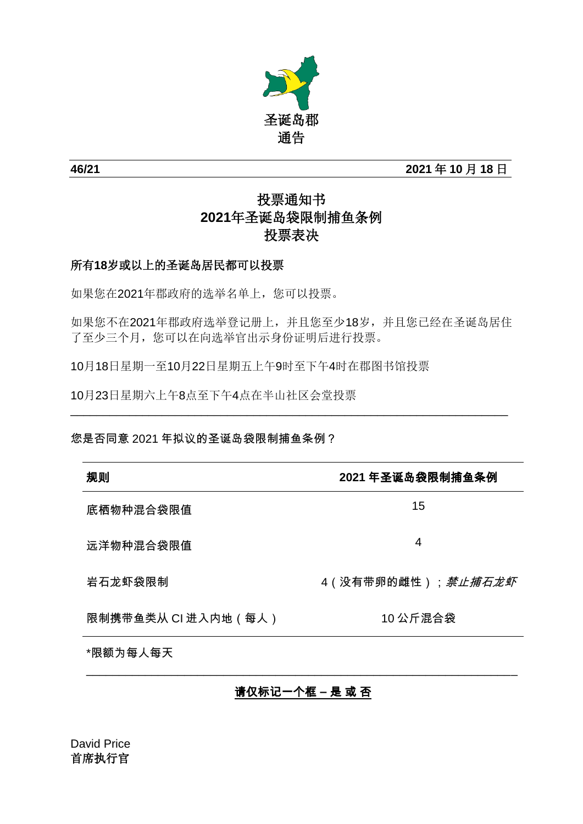

**46/21 2021** 年 **10** 月 **18** 日

# 投票通知书 **2021**年圣诞岛袋限制捕鱼条例 投票表决

# 所有**18**岁或以上的圣诞岛居民都可以投票

如果您在2021年郡政府的选举名单上,您可以投票。

如果您不在2021年郡政府选举登记册上,并且您至少18岁,并且您已经在圣诞岛居住 了至少三个月,您可以在向选举官出示身份证明后进行投票。

\_\_\_\_\_\_\_\_\_\_\_\_\_\_\_\_\_\_\_\_\_\_\_\_\_\_\_\_\_\_\_\_\_\_\_\_\_\_\_\_\_\_\_\_\_\_\_\_\_\_\_\_\_\_\_\_\_\_\_\_\_\_\_\_\_\_\_

10月18日星期一至10月22日星期五上午9时至下午4时在郡图书馆投票

10月23日星期六上午8点至下午4点在半山社区会堂投票

#### 您是否同意 2021 年拟议的圣诞岛袋限制捕鱼条例?

| 规则                  | 2021 年圣诞岛袋限制捕鱼条例           |
|---------------------|----------------------------|
| 底栖物种混合袋限值           | 15                         |
| 远洋物种混合袋限值           | 4                          |
| 岩石龙虾袋限制             | 4( 没有带卵的雌性); <i>禁止捕石龙虾</i> |
| 限制携带鱼类从 Cl 进入内地(每人) | 10 公斤混合袋                   |
| *限额为每人每天            |                            |

# 请仅标记一个框 **–** 是 或 否

\_\_\_\_\_\_\_\_\_\_\_\_\_\_\_\_\_\_\_\_\_\_\_\_\_\_\_\_\_\_\_\_\_\_\_\_\_\_\_\_\_\_\_\_\_\_\_\_\_\_\_\_\_\_\_\_\_\_\_\_\_\_\_\_\_\_